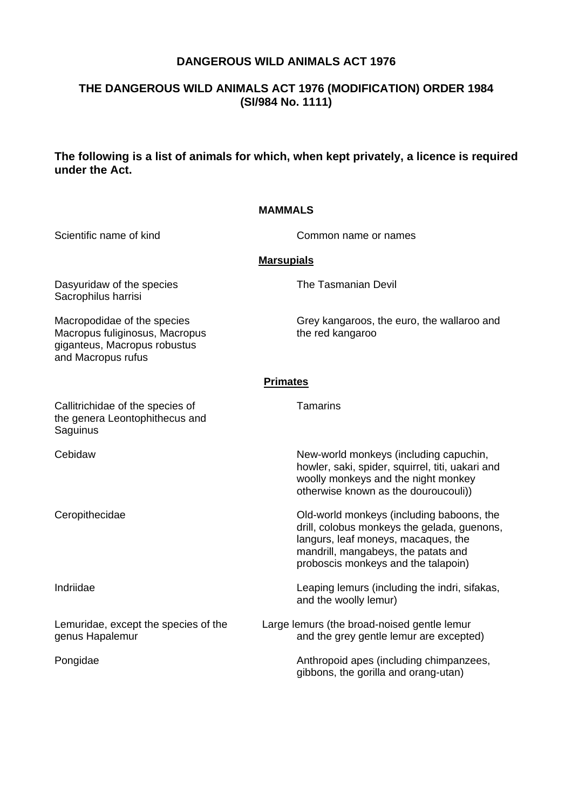# **DANGEROUS WILD ANIMALS ACT 1976**

# **THE DANGEROUS WILD ANIMALS ACT 1976 (MODIFICATION) ORDER 1984 (SI/984 No. 1111)**

# **The following is a list of animals for which, when kept privately, a licence is required under the Act.**

#### **MAMMALS**

Scientific name of kind Common name or names

## **Marsupials**

Dasyuridaw of the species The Tasmanian Devil Sacrophilus harrisi

Macropus fuliginosus, Macropus giganteus, Macropus robustus and Macropus rufus

Macropodidae of the species Grey kangaroos, the euro, the wallaroo and Macropus fulliginosus, Macropus the red kangaroo

#### **Primates**

| Callitrichidae of the species of<br>the genera Leontophithecus and<br>Saguinus | Tamarins                                                                                                                                                                                                      |
|--------------------------------------------------------------------------------|---------------------------------------------------------------------------------------------------------------------------------------------------------------------------------------------------------------|
| Cebidaw                                                                        | New-world monkeys (including capuchin,<br>howler, saki, spider, squirrel, titi, uakari and<br>woolly monkeys and the night monkey<br>otherwise known as the douroucouli))                                     |
| Ceropithecidae                                                                 | Old-world monkeys (including baboons, the<br>drill, colobus monkeys the gelada, guenons,<br>langurs, leaf moneys, macaques, the<br>mandrill, mangabeys, the patats and<br>proboscis monkeys and the talapoin) |
| Indriidae                                                                      | Leaping lemurs (including the indri, sifakas,<br>and the woolly lemur)                                                                                                                                        |
| Lemuridae, except the species of the<br>genus Hapalemur                        | Large lemurs (the broad-noised gentle lemur<br>and the grey gentle lemur are excepted)                                                                                                                        |
| Pongidae                                                                       | Anthropoid apes (including chimpanzees,<br>gibbons, the gorilla and orang-utan)                                                                                                                               |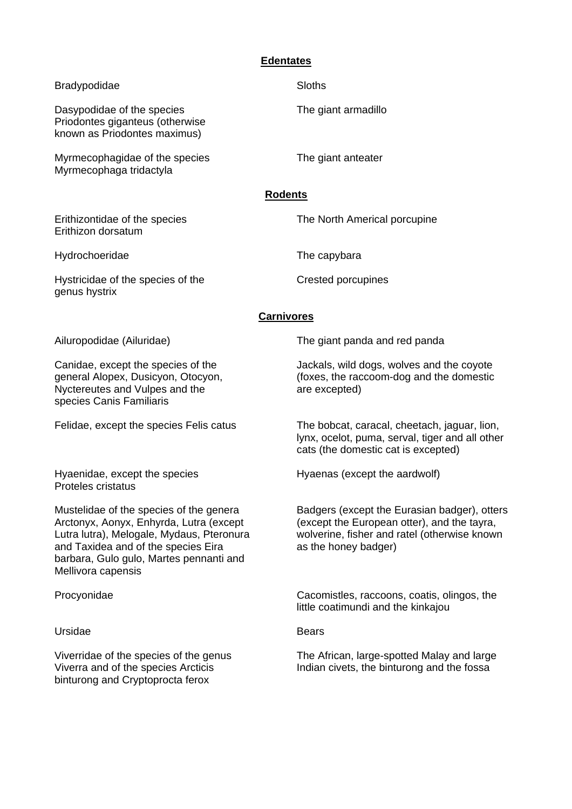# **Edentates**

| <b>Bradypodidae</b>                                                                                                                                                                                                                     | <b>Sloths</b>                                                                                                                                                       |  |
|-----------------------------------------------------------------------------------------------------------------------------------------------------------------------------------------------------------------------------------------|---------------------------------------------------------------------------------------------------------------------------------------------------------------------|--|
| Dasypodidae of the species<br>Priodontes giganteus (otherwise<br>known as Priodontes maximus)                                                                                                                                           | The giant armadillo                                                                                                                                                 |  |
| Myrmecophagidae of the species<br>Myrmecophaga tridactyla                                                                                                                                                                               | The giant anteater                                                                                                                                                  |  |
| <b>Rodents</b>                                                                                                                                                                                                                          |                                                                                                                                                                     |  |
| Erithizontidae of the species<br>Erithizon dorsatum                                                                                                                                                                                     | The North Americal porcupine                                                                                                                                        |  |
| Hydrochoeridae                                                                                                                                                                                                                          | The capybara                                                                                                                                                        |  |
| Hystricidae of the species of the<br>genus hystrix                                                                                                                                                                                      | <b>Crested porcupines</b>                                                                                                                                           |  |
| <b>Carnivores</b>                                                                                                                                                                                                                       |                                                                                                                                                                     |  |
| Ailuropodidae (Ailuridae)                                                                                                                                                                                                               | The giant panda and red panda                                                                                                                                       |  |
| Canidae, except the species of the<br>general Alopex, Dusicyon, Otocyon,<br>Nyctereutes and Vulpes and the<br>species Canis Familiaris                                                                                                  | Jackals, wild dogs, wolves and the coyote<br>(foxes, the raccoom-dog and the domestic<br>are excepted)                                                              |  |
| Felidae, except the species Felis catus                                                                                                                                                                                                 | The bobcat, caracal, cheetach, jaguar, lion,<br>lynx, ocelot, puma, serval, tiger and all other<br>cats (the domestic cat is excepted)                              |  |
| Hyaenidae, except the species<br><b>Proteles cristatus</b>                                                                                                                                                                              | Hyaenas (except the aardwolf)                                                                                                                                       |  |
| Mustelidae of the species of the genera<br>Arctonyx, Aonyx, Enhyrda, Lutra (except<br>Lutra lutra), Melogale, Mydaus, Pteronura<br>and Taxidea and of the species Eira<br>barbara, Gulo gulo, Martes pennanti and<br>Mellivora capensis | Badgers (except the Eurasian badger), otters<br>(except the European otter), and the tayra,<br>wolverine, fisher and ratel (otherwise known<br>as the honey badger) |  |
| Procyonidae                                                                                                                                                                                                                             | Cacomistles, raccoons, coatis, olingos, the<br>little coatimundi and the kinkajou                                                                                   |  |
| Ursidae                                                                                                                                                                                                                                 | <b>Bears</b>                                                                                                                                                        |  |
| Viverridae of the species of the genus<br>Viverra and of the species Arcticis<br>binturong and Cryptoprocta ferox                                                                                                                       | The African, large-spotted Malay and large<br>Indian civets, the binturong and the fossa                                                                            |  |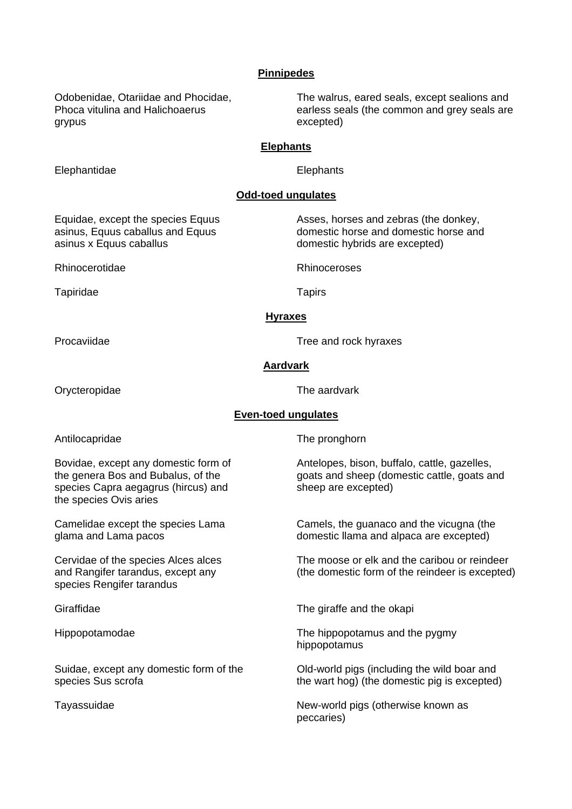### **Pinnipedes**

grypus excepted)

Odobenidae, Otariidae and Phocidae, The walrus, eared seals, except sealions and Phoca vitulina and Halichoaerus earless seals (the common and grey seals are

#### **Elephants**

Elephantidae Elephants

## **Odd-toed ungulates**

Equidae, except the species Equus Asses, horses and zebras (the donkey, asinus, Equus caballus and Equus domestic horse and domestic horse and asinus x Equus caballus domestic hybrids are excepted)

Rhinocerotidae Rhinoceroses

Tapiridae Tapirs

#### **Hyraxes**

Procaviidae Tree and rock hyraxes

#### **Aardvark**

**Even-toed ungulates**

Orycteropidae The aardvark

Antilocapridae The pronghorn

species Capra aegagrus (hircus) and sheep are excepted) the species Ovis aries

species Rengifer tarandus

Bovidae, except any domestic form of Antelopes, bison, buffalo, cattle, gazelles, the genera Bos and Bubalus, of the goats and sheep (domestic cattle, goats and

Camelidae except the species Lama Camels, the guanaco and the vicugna (the glama and Lama pacos domestic llama and alpaca are excepted)

Cervidae of the species Alces alces The moose or elk and the caribou or reindeer and Rangifer tarandus, except any (the domestic form of the reindeer is excepted)

Giraffidae The giraffe and the okapi

Hippopotamodae The hippopotamus and the pygmy hippopotamus

Suidae, except any domestic form of the Old-world pigs (including the wild boar and species Sus scrofa the wart hog) (the domestic pig is excepted)

Tayassuidae New-world pigs (otherwise known as peccaries)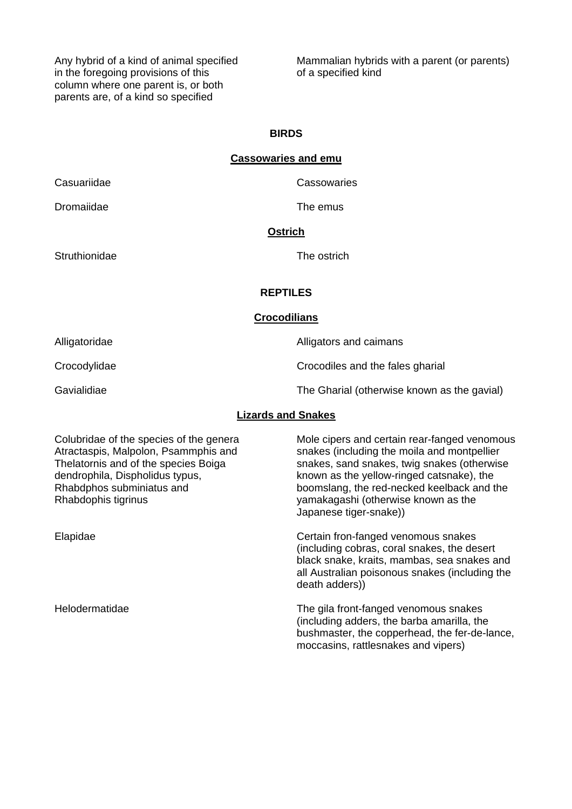in the foregoing provisions of this of a specified kind column where one parent is, or both parents are, of a kind so specified

Any hybrid of a kind of animal specified Mammalian hybrids with a parent (or parents)

# **BIRDS**

# **Cassowaries and emu**

Casuariidae Cassowaries

Dromaiidae The emus

Struthionidae The ostrich

# **Ostrich**

# **REPTILES**

#### **Crocodilians**

Alligatoridae **Alligators** and caimans Crocodylidae Crocodiles and the fales gharial Gavialidiae **The Gharial (otherwise known as the gavial)** The Gharial (otherwise known as the gavial)

# **Lizards and Snakes**

| Colubridae of the species of the genera<br>Atractaspis, Malpolon, Psammphis and<br>Thelatornis and of the species Boiga<br>dendrophila, Dispholidus typus,<br>Rhabdphos subminiatus and<br>Rhabdophis tigrinus | Mole cipers and certain rear-fanged venomous<br>snakes (including the moila and montpellier<br>snakes, sand snakes, twig snakes (otherwise<br>known as the yellow-ringed catsnake), the<br>boomslang, the red-necked keelback and the<br>yamakagashi (otherwise known as the<br>Japanese tiger-snake)) |
|----------------------------------------------------------------------------------------------------------------------------------------------------------------------------------------------------------------|--------------------------------------------------------------------------------------------------------------------------------------------------------------------------------------------------------------------------------------------------------------------------------------------------------|
| Elapidae                                                                                                                                                                                                       | Certain fron-fanged venomous snakes<br>(including cobras, coral snakes, the desert<br>black snake, kraits, mambas, sea snakes and<br>all Australian poisonous snakes (including the<br>death adders))                                                                                                  |
| Helodermatidae                                                                                                                                                                                                 | The gila front-fanged venomous snakes<br>(including adders, the barba amarilla, the<br>bushmaster, the copperhead, the fer-de-lance,<br>moccasins, rattlesnakes and vipers)                                                                                                                            |